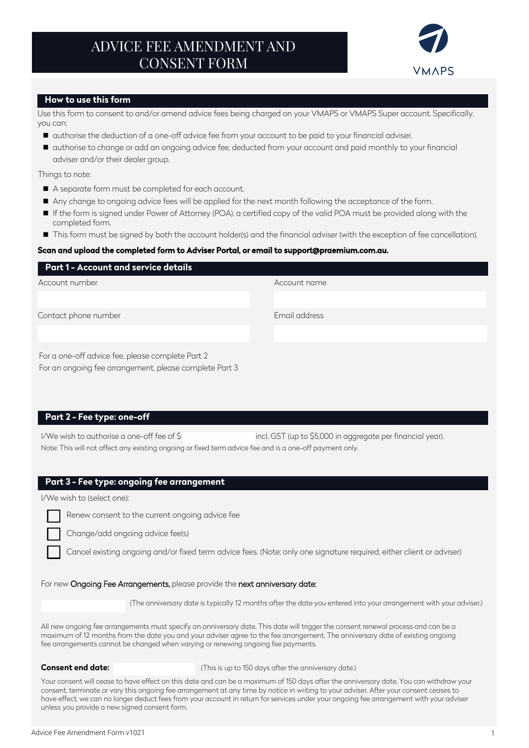# ADVICE FEE AMENDMENT AND CONSENT FORM



## **How to use this form**

Use this form to consent to and/or amend advice fees being charged on your VMAPS or VMAPS Super account. Specifically, you can:

- $\blacksquare$  authorise the deduction of a one-off advice fee from your account to be paid to your financial adviser.
- authorise to change or add an ongoing advice fee, deducted from your account and paid monthly to your financial adviser and/or their dealer group.

Things to note:

- A separate form must be completed for each account.
- Any change to ongoing advice fees will be applied for the next month following the acceptance of the form.
- If the form is signed under Power of Attorney (POA), a certified copy of the valid POA must be provided along with the completed form.
- This form must be signed by both the account holder(s) and the financial adviser (with the exception of fee cancellation).

#### Scan and upload the completed form to Adviser Portal, or email to support@praemium.com.au.

| Part 1 - Account and service details             |               |
|--------------------------------------------------|---------------|
| Account number                                   | Account name  |
|                                                  |               |
| Contact phone number                             | Email address |
|                                                  |               |
| For a one-off advice fee, please complete Part 2 |               |

# **Part 2 - Fee type: one-off**

I/We wish to authorise a one-off fee of \$ incl. GST (up to \$5,000 in aggregate per financial year). Note: This will not affect any existing ongoing or fixed term advice fee and is a one-off payment only.

## **Part 3 - Fee type: ongoing fee arrangement**

For an ongoing fee arrangement, please complete Part 3

I/We wish to (select one):



Change/add ongoing advice fee(s)

Cancel existing ongoing and/or fixed term advice fees. (Note: only one signature required, either client or adviser)

#### For new Ongoing Fee Arrangements, please provide the next anniversary date:

(The anniversary date is typically 12 months after the date you entered into your arrangement with your adviser.)

All new ongoing fee arrangements must specify an anniversary date. This date will trigger the consent renewal process and can be a maximum of 12 months from the date you and your adviser agree to the fee arrangement. The anniversary date of existing ongoing fee arrangements cannot be changed when varying or renewing ongoing fee payments.

#### **Consent end date:**

(This is up to 150 days after the anniversary date.)

Your consent will cease to have effect on this date and can be a maximum of 150 days after the anniversary date. You can withdraw your consent, terminate or vary this ongoing fee arrangement at any time by notice in writing to your adviser. After your consent ceases to have effect, we can no longer deduct fees from your account in return for services under your ongoing fee arrangement with your adviser unless you provide a new signed consent form.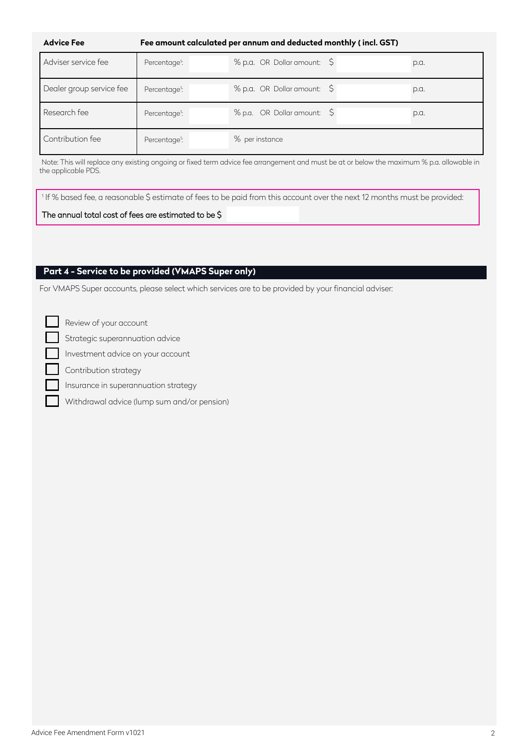| <b>Advice Fee</b>        | Fee amount calculated per annum and deducted monthly (incl. GST) |                             |      |
|--------------------------|------------------------------------------------------------------|-----------------------------|------|
| Adviser service fee      | Percentage <sup>1</sup> :                                        | % p.a. OR Dollar amount: \$ | p.a. |
| Dealer group service fee | Percentage <sup>1</sup> :                                        | % p.a. OR Dollar amount: \$ | p.a. |
| Research fee             | Percentage <sup>1</sup> :                                        | % p.a. OR Dollar amount: \$ | p.a. |
| Contribution fee         | Percentage <sup>1</sup> :                                        | % per instance              |      |

Note: This will replace any existing ongoing or fixed term advice fee arrangement and must be at or below the maximum % p.a. allowable in the applicable PDS.

<sup>1</sup> If % based fee, a reasonable \$ estimate of fees to be paid from this account over the next 12 months must be provided:

## The annual total cost of fees are estimated to be \$

# **Part 4 - Service to be provided (VMAPS Super only)**

For VMAPS Super accounts, please select which services are to be provided by your financial adviser:

Review of your account

Strategic superannuation advice

Investment advice on your account

Contribution strategy

Insurance in superannuation strategy

Withdrawal advice (lump sum and/or pension)